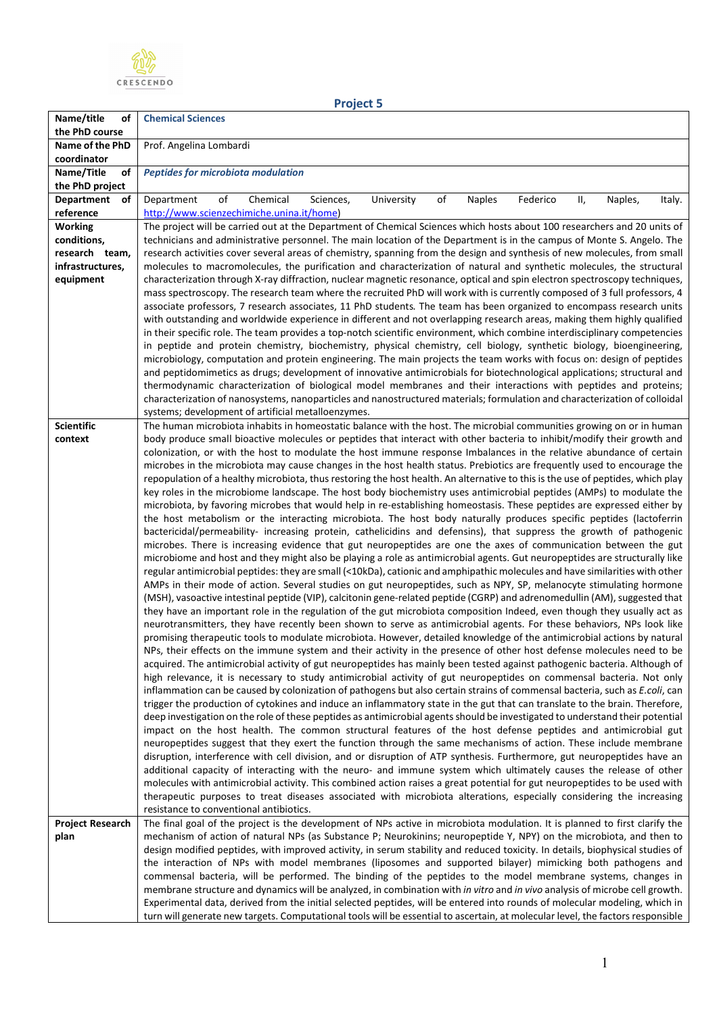

**Project 5**

| Name/title<br>οf              | <b>Chemical Sciences</b>                                                                                                                                                                                                                           |
|-------------------------------|----------------------------------------------------------------------------------------------------------------------------------------------------------------------------------------------------------------------------------------------------|
| the PhD course                |                                                                                                                                                                                                                                                    |
| Name of the PhD               | Prof. Angelina Lombardi                                                                                                                                                                                                                            |
| coordinator                   |                                                                                                                                                                                                                                                    |
| Name/Title<br>of              | <b>Peptides for microbiota modulation</b>                                                                                                                                                                                                          |
| the PhD project               |                                                                                                                                                                                                                                                    |
| Department<br>оf              | of<br>Chemical<br>of<br>Department<br>Sciences,<br>University<br><b>Naples</b><br>Federico<br>Ш,<br>Naples,<br>Italy.                                                                                                                              |
| reference                     | http://www.scienzechimiche.unina.it/home)                                                                                                                                                                                                          |
| <b>Working</b><br>conditions, | The project will be carried out at the Department of Chemical Sciences which hosts about 100 researchers and 20 units of<br>technicians and administrative personnel. The main location of the Department is in the campus of Monte S. Angelo. The |
| research team,                | research activities cover several areas of chemistry, spanning from the design and synthesis of new molecules, from small                                                                                                                          |
| infrastructures,              | molecules to macromolecules, the purification and characterization of natural and synthetic molecules, the structural                                                                                                                              |
| equipment                     | characterization through X-ray diffraction, nuclear magnetic resonance, optical and spin electron spectroscopy techniques,                                                                                                                         |
|                               | mass spectroscopy. The research team where the recruited PhD will work with is currently composed of 3 full professors, 4                                                                                                                          |
|                               | associate professors, 7 research associates, 11 PhD students. The team has been organized to encompass research units                                                                                                                              |
|                               | with outstanding and worldwide experience in different and not overlapping research areas, making them highly qualified                                                                                                                            |
|                               | in their specific role. The team provides a top-notch scientific environment, which combine interdisciplinary competencies                                                                                                                         |
|                               | in peptide and protein chemistry, biochemistry, physical chemistry, cell biology, synthetic biology, bioengineering,                                                                                                                               |
|                               | microbiology, computation and protein engineering. The main projects the team works with focus on: design of peptides                                                                                                                              |
|                               | and peptidomimetics as drugs; development of innovative antimicrobials for biotechnological applications; structural and                                                                                                                           |
|                               | thermodynamic characterization of biological model membranes and their interactions with peptides and proteins;                                                                                                                                    |
|                               | characterization of nanosystems, nanoparticles and nanostructured materials; formulation and characterization of colloidal                                                                                                                         |
| <b>Scientific</b>             | systems; development of artificial metalloenzymes.                                                                                                                                                                                                 |
| context                       | The human microbiota inhabits in homeostatic balance with the host. The microbial communities growing on or in human<br>body produce small bioactive molecules or peptides that interact with other bacteria to inhibit/modify their growth and    |
|                               | colonization, or with the host to modulate the host immune response Imbalances in the relative abundance of certain                                                                                                                                |
|                               | microbes in the microbiota may cause changes in the host health status. Prebiotics are frequently used to encourage the                                                                                                                            |
|                               | repopulation of a healthy microbiota, thus restoring the host health. An alternative to this is the use of peptides, which play                                                                                                                    |
|                               | key roles in the microbiome landscape. The host body biochemistry uses antimicrobial peptides (AMPs) to modulate the                                                                                                                               |
|                               | microbiota, by favoring microbes that would help in re-establishing homeostasis. These peptides are expressed either by                                                                                                                            |
|                               | the host metabolism or the interacting microbiota. The host body naturally produces specific peptides (lactoferrin                                                                                                                                 |
|                               | bactericidal/permeability- increasing protein, cathelicidins and defensins), that suppress the growth of pathogenic                                                                                                                                |
|                               | microbes. There is increasing evidence that gut neuropeptides are one the axes of communication between the gut                                                                                                                                    |
|                               | microbiome and host and they might also be playing a role as antimicrobial agents. Gut neuropeptides are structurally like                                                                                                                         |
|                               | regular antimicrobial peptides: they are small (<10kDa), cationic and amphipathic molecules and have similarities with other                                                                                                                       |
|                               | AMPs in their mode of action. Several studies on gut neuropeptides, such as NPY, SP, melanocyte stimulating hormone<br>(MSH), vasoactive intestinal peptide (VIP), calcitonin gene-related peptide (CGRP) and adrenomedullin (AM), suggested that  |
|                               | they have an important role in the regulation of the gut microbiota composition Indeed, even though they usually act as                                                                                                                            |
|                               | neurotransmitters, they have recently been shown to serve as antimicrobial agents. For these behaviors, NPs look like                                                                                                                              |
|                               | promising therapeutic tools to modulate microbiota. However, detailed knowledge of the antimicrobial actions by natural                                                                                                                            |
|                               | NPs, their effects on the immune system and their activity in the presence of other host defense molecules need to be                                                                                                                              |
|                               | acquired. The antimicrobial activity of gut neuropeptides has mainly been tested against pathogenic bacteria. Although of                                                                                                                          |
|                               | high relevance, it is necessary to study antimicrobial activity of gut neuropeptides on commensal bacteria. Not only                                                                                                                               |
|                               | inflammation can be caused by colonization of pathogens but also certain strains of commensal bacteria, such as E.coli, can                                                                                                                        |
|                               | trigger the production of cytokines and induce an inflammatory state in the gut that can translate to the brain. Therefore,                                                                                                                        |
|                               | deep investigation on the role of these peptides as antimicrobial agents should be investigated to understand their potential                                                                                                                      |
|                               | impact on the host health. The common structural features of the host defense peptides and antimicrobial gut                                                                                                                                       |
|                               | neuropeptides suggest that they exert the function through the same mechanisms of action. These include membrane                                                                                                                                   |
|                               | disruption, interference with cell division, and or disruption of ATP synthesis. Furthermore, gut neuropeptides have an                                                                                                                            |
|                               | additional capacity of interacting with the neuro- and immune system which ultimately causes the release of other<br>molecules with antimicrobial activity. This combined action raises a great potential for gut neuropeptides to be used with    |
|                               | therapeutic purposes to treat diseases associated with microbiota alterations, especially considering the increasing                                                                                                                               |
|                               | resistance to conventional antibiotics.                                                                                                                                                                                                            |
| <b>Project Research</b>       | The final goal of the project is the development of NPs active in microbiota modulation. It is planned to first clarify the                                                                                                                        |
| plan                          | mechanism of action of natural NPs (as Substance P; Neurokinins; neuropeptide Y, NPY) on the microbiota, and then to                                                                                                                               |
|                               | design modified peptides, with improved activity, in serum stability and reduced toxicity. In details, biophysical studies of                                                                                                                      |
|                               | the interaction of NPs with model membranes (liposomes and supported bilayer) mimicking both pathogens and                                                                                                                                         |
|                               | commensal bacteria, will be performed. The binding of the peptides to the model membrane systems, changes in                                                                                                                                       |
|                               | membrane structure and dynamics will be analyzed, in combination with in vitro and in vivo analysis of microbe cell growth.                                                                                                                        |
|                               | Experimental data, derived from the initial selected peptides, will be entered into rounds of molecular modeling, which in                                                                                                                         |
|                               | turn will generate new targets. Computational tools will be essential to ascertain, at molecular level, the factors responsible                                                                                                                    |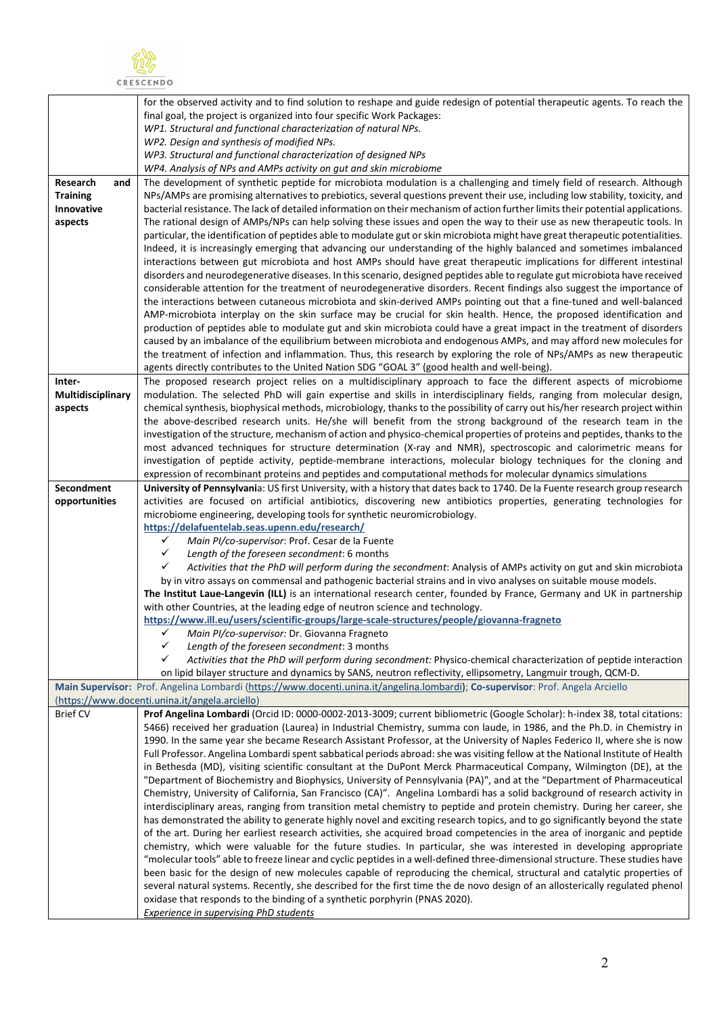

| WP1. Structural and functional characterization of natural NPs.<br>WP2. Design and synthesis of modified NPs.<br>WP3. Structural and functional characterization of designed NPs<br>WP4. Analysis of NPs and AMPs activity on gut and skin microbiome<br>The development of synthetic peptide for microbiota modulation is a challenging and timely field of research. Although<br>Research<br>and<br>NPs/AMPs are promising alternatives to prebiotics, several questions prevent their use, including low stability, toxicity, and<br><b>Training</b><br>Innovative<br>bacterial resistance. The lack of detailed information on their mechanism of action further limits their potential applications.<br>The rational design of AMPs/NPs can help solving these issues and open the way to their use as new therapeutic tools. In<br>aspects<br>particular, the identification of peptides able to modulate gut or skin microbiota might have great therapeutic potentialities.<br>Indeed, it is increasingly emerging that advancing our understanding of the highly balanced and sometimes imbalanced<br>interactions between gut microbiota and host AMPs should have great therapeutic implications for different intestinal<br>disorders and neurodegenerative diseases. In this scenario, designed peptides able to regulate gut microbiota have received<br>considerable attention for the treatment of neurodegenerative disorders. Recent findings also suggest the importance of<br>the interactions between cutaneous microbiota and skin-derived AMPs pointing out that a fine-tuned and well-balanced<br>AMP-microbiota interplay on the skin surface may be crucial for skin health. Hence, the proposed identification and<br>production of peptides able to modulate gut and skin microbiota could have a great impact in the treatment of disorders<br>caused by an imbalance of the equilibrium between microbiota and endogenous AMPs, and may afford new molecules for<br>the treatment of infection and inflammation. Thus, this research by exploring the role of NPs/AMPs as new therapeutic<br>agents directly contributes to the United Nation SDG "GOAL 3" (good health and well-being).<br>The proposed research project relies on a multidisciplinary approach to face the different aspects of microbiome<br>Inter-<br>Multidisciplinary<br>modulation. The selected PhD will gain expertise and skills in interdisciplinary fields, ranging from molecular design,<br>chemical synthesis, biophysical methods, microbiology, thanks to the possibility of carry out his/her research project within<br>aspects<br>the above-described research units. He/she will benefit from the strong background of the research team in the<br>investigation of the structure, mechanism of action and physico-chemical properties of proteins and peptides, thanks to the<br>most advanced techniques for structure determination (X-ray and NMR), spectroscopic and calorimetric means for<br>investigation of peptide activity, peptide-membrane interactions, molecular biology techniques for the cloning and<br>expression of recombinant proteins and peptides and computational methods for molecular dynamics simulations<br>Secondment<br>University of Pennsylvania: US first University, with a history that dates back to 1740. De la Fuente research group research<br>opportunities<br>activities are focused on artificial antibiotics, discovering new antibiotics properties, generating technologies for<br>microbiome engineering, developing tools for synthetic neuromicrobiology.<br>https://delafuentelab.seas.upenn.edu/research/<br>✓<br>Main PI/co-supervisor: Prof. Cesar de la Fuente<br>$\checkmark$<br>Length of the foreseen secondment: 6 months<br>✓<br>Activities that the PhD will perform during the secondment: Analysis of AMPs activity on gut and skin microbiota<br>by in vitro assays on commensal and pathogenic bacterial strains and in vivo analyses on suitable mouse models.<br>The Institut Laue-Langevin (ILL) is an international research center, founded by France, Germany and UK in partnership<br>with other Countries, at the leading edge of neutron science and technology.<br>https://www.ill.eu/users/scientific-groups/large-scale-structures/people/giovanna-fragneto<br>✓<br>Main Pl/co-supervisor: Dr. Giovanna Fragneto<br>✓<br>Length of the foreseen secondment: 3 months<br>✓<br>Activities that the PhD will perform during secondment: Physico-chemical characterization of peptide interaction<br>on lipid bilayer structure and dynamics by SANS, neutron reflectivity, ellipsometry, Langmuir trough, QCM-D.<br>Main Supervisor: Prof. Angelina Lombardi (https://www.docenti.unina.it/angelina.lombardi); Co-supervisor: Prof. Angela Arciello<br>(https://www.docenti.unina.it/angela.arciello)<br>Prof Angelina Lombardi (Orcid ID: 0000-0002-2013-3009; current bibliometric (Google Scholar): h-index 38, total citations:<br><b>Brief CV</b><br>5466) received her graduation (Laurea) in Industrial Chemistry, summa con laude, in 1986, and the Ph.D. in Chemistry in<br>1990. In the same year she became Research Assistant Professor, at the University of Naples Federico II, where she is now<br>Full Professor. Angelina Lombardi spent sabbatical periods abroad: she was visiting fellow at the National Institute of Health<br>in Bethesda (MD), visiting scientific consultant at the DuPont Merck Pharmaceutical Company, Wilmington (DE), at the<br>"Department of Biochemistry and Biophysics, University of Pennsylvania (PA)", and at the "Department of Pharmaceutical<br>Chemistry, University of California, San Francisco (CA)". Angelina Lombardi has a solid background of research activity in<br>interdisciplinary areas, ranging from transition metal chemistry to peptide and protein chemistry. During her career, she<br>has demonstrated the ability to generate highly novel and exciting research topics, and to go significantly beyond the state<br>of the art. During her earliest research activities, she acquired broad competencies in the area of inorganic and peptide<br>chemistry, which were valuable for the future studies. In particular, she was interested in developing appropriate<br>"molecular tools" able to freeze linear and cyclic peptides in a well-defined three-dimensional structure. These studies have<br>been basic for the design of new molecules capable of reproducing the chemical, structural and catalytic properties of<br>several natural systems. Recently, she described for the first time the de novo design of an allosterically regulated phenol<br>oxidase that responds to the binding of a synthetic porphyrin (PNAS 2020).<br><b>Experience in supervising PhD students</b> | for the observed activity and to find solution to reshape and guide redesign of potential therapeutic agents. To reach the<br>final goal, the project is organized into four specific Work Packages: |
|--------------------------------------------------------------------------------------------------------------------------------------------------------------------------------------------------------------------------------------------------------------------------------------------------------------------------------------------------------------------------------------------------------------------------------------------------------------------------------------------------------------------------------------------------------------------------------------------------------------------------------------------------------------------------------------------------------------------------------------------------------------------------------------------------------------------------------------------------------------------------------------------------------------------------------------------------------------------------------------------------------------------------------------------------------------------------------------------------------------------------------------------------------------------------------------------------------------------------------------------------------------------------------------------------------------------------------------------------------------------------------------------------------------------------------------------------------------------------------------------------------------------------------------------------------------------------------------------------------------------------------------------------------------------------------------------------------------------------------------------------------------------------------------------------------------------------------------------------------------------------------------------------------------------------------------------------------------------------------------------------------------------------------------------------------------------------------------------------------------------------------------------------------------------------------------------------------------------------------------------------------------------------------------------------------------------------------------------------------------------------------------------------------------------------------------------------------------------------------------------------------------------------------------------------------------------------------------------------------------------------------------------------------------------------------------------------------------------------------------------------------------------------------------------------------------------------------------------------------------------------------------------------------------------------------------------------------------------------------------------------------------------------------------------------------------------------------------------------------------------------------------------------------------------------------------------------------------------------------------------------------------------------------------------------------------------------------------------------------------------------------------------------------------------------------------------------------------------------------------------------------------------------------------------------------------------------------------------------------------------------------------------------------------------------------------------------------------------------------------------------------------------------------------------------------------------------------------------------------------------------------------------------------------------------------------------------------------------------------------------------------------------------------------------------------------------------------------------------------------------------------------------------------------------------------------------------------------------------------------------------------------------------------------------------------------------------------------------------------------------------------------------------------------------------------------------------------------------------------------------------------------------------------------------------------------------------------------------------------------------------------------------------------------------------------------------------------------------------------------------------------------------------------------------------------------------------------------------------------------------------------------------------------------------------------------------------------------------------------------------------------------------------------------------------------------------------------------------------------------------------------------------------------------------------------------------------------------------------------------------------------------------------------------------------------------------------------------------------------------------------------------------------------------------------------------------------------------------------------------------------------------------------------------------------------------------------------------------------------------------------------------------------------------------------------------------------------------------------------------------------------------------------------------------------------------------------------------------------------------------------------------------------------------------------------------------------------------------------------------------------------------------------------------------------------------------------------------------------------------------------------------------------------------------------------------------------------------------------------------------------------------------------------------------------------------------------------------------------------------------------------------------------------------------------------------------------------------------------------------------------------------------------------------------------------------------------------------------------------------------------------------------------------------------------------------------------------------------------------------------------------------------------------------------------------------------------------------------------------------------------|------------------------------------------------------------------------------------------------------------------------------------------------------------------------------------------------------|
|                                                                                                                                                                                                                                                                                                                                                                                                                                                                                                                                                                                                                                                                                                                                                                                                                                                                                                                                                                                                                                                                                                                                                                                                                                                                                                                                                                                                                                                                                                                                                                                                                                                                                                                                                                                                                                                                                                                                                                                                                                                                                                                                                                                                                                                                                                                                                                                                                                                                                                                                                                                                                                                                                                                                                                                                                                                                                                                                                                                                                                                                                                                                                                                                                                                                                                                                                                                                                                                                                                                                                                                                                                                                                                                                                                                                                                                                                                                                                                                                                                                                                                                                                                                                                                                                                                                                                                                                                                                                                                                                                                                                                                                                                                                                                                                                                                                                                                                                                                                                                                                                                                                                                                                                                                                                                                                                                                                                                                                                                                                                                                                                                                                                                                                                                                                                                                                                                                                                                                                                                                                                                                                                                                                                                                                                                                                                                                                                                                                                                                                                                                                                                                                                                                                                                                                                                                                                          |                                                                                                                                                                                                      |
|                                                                                                                                                                                                                                                                                                                                                                                                                                                                                                                                                                                                                                                                                                                                                                                                                                                                                                                                                                                                                                                                                                                                                                                                                                                                                                                                                                                                                                                                                                                                                                                                                                                                                                                                                                                                                                                                                                                                                                                                                                                                                                                                                                                                                                                                                                                                                                                                                                                                                                                                                                                                                                                                                                                                                                                                                                                                                                                                                                                                                                                                                                                                                                                                                                                                                                                                                                                                                                                                                                                                                                                                                                                                                                                                                                                                                                                                                                                                                                                                                                                                                                                                                                                                                                                                                                                                                                                                                                                                                                                                                                                                                                                                                                                                                                                                                                                                                                                                                                                                                                                                                                                                                                                                                                                                                                                                                                                                                                                                                                                                                                                                                                                                                                                                                                                                                                                                                                                                                                                                                                                                                                                                                                                                                                                                                                                                                                                                                                                                                                                                                                                                                                                                                                                                                                                                                                                                          |                                                                                                                                                                                                      |
|                                                                                                                                                                                                                                                                                                                                                                                                                                                                                                                                                                                                                                                                                                                                                                                                                                                                                                                                                                                                                                                                                                                                                                                                                                                                                                                                                                                                                                                                                                                                                                                                                                                                                                                                                                                                                                                                                                                                                                                                                                                                                                                                                                                                                                                                                                                                                                                                                                                                                                                                                                                                                                                                                                                                                                                                                                                                                                                                                                                                                                                                                                                                                                                                                                                                                                                                                                                                                                                                                                                                                                                                                                                                                                                                                                                                                                                                                                                                                                                                                                                                                                                                                                                                                                                                                                                                                                                                                                                                                                                                                                                                                                                                                                                                                                                                                                                                                                                                                                                                                                                                                                                                                                                                                                                                                                                                                                                                                                                                                                                                                                                                                                                                                                                                                                                                                                                                                                                                                                                                                                                                                                                                                                                                                                                                                                                                                                                                                                                                                                                                                                                                                                                                                                                                                                                                                                                                          |                                                                                                                                                                                                      |
|                                                                                                                                                                                                                                                                                                                                                                                                                                                                                                                                                                                                                                                                                                                                                                                                                                                                                                                                                                                                                                                                                                                                                                                                                                                                                                                                                                                                                                                                                                                                                                                                                                                                                                                                                                                                                                                                                                                                                                                                                                                                                                                                                                                                                                                                                                                                                                                                                                                                                                                                                                                                                                                                                                                                                                                                                                                                                                                                                                                                                                                                                                                                                                                                                                                                                                                                                                                                                                                                                                                                                                                                                                                                                                                                                                                                                                                                                                                                                                                                                                                                                                                                                                                                                                                                                                                                                                                                                                                                                                                                                                                                                                                                                                                                                                                                                                                                                                                                                                                                                                                                                                                                                                                                                                                                                                                                                                                                                                                                                                                                                                                                                                                                                                                                                                                                                                                                                                                                                                                                                                                                                                                                                                                                                                                                                                                                                                                                                                                                                                                                                                                                                                                                                                                                                                                                                                                                          |                                                                                                                                                                                                      |
|                                                                                                                                                                                                                                                                                                                                                                                                                                                                                                                                                                                                                                                                                                                                                                                                                                                                                                                                                                                                                                                                                                                                                                                                                                                                                                                                                                                                                                                                                                                                                                                                                                                                                                                                                                                                                                                                                                                                                                                                                                                                                                                                                                                                                                                                                                                                                                                                                                                                                                                                                                                                                                                                                                                                                                                                                                                                                                                                                                                                                                                                                                                                                                                                                                                                                                                                                                                                                                                                                                                                                                                                                                                                                                                                                                                                                                                                                                                                                                                                                                                                                                                                                                                                                                                                                                                                                                                                                                                                                                                                                                                                                                                                                                                                                                                                                                                                                                                                                                                                                                                                                                                                                                                                                                                                                                                                                                                                                                                                                                                                                                                                                                                                                                                                                                                                                                                                                                                                                                                                                                                                                                                                                                                                                                                                                                                                                                                                                                                                                                                                                                                                                                                                                                                                                                                                                                                                          |                                                                                                                                                                                                      |
|                                                                                                                                                                                                                                                                                                                                                                                                                                                                                                                                                                                                                                                                                                                                                                                                                                                                                                                                                                                                                                                                                                                                                                                                                                                                                                                                                                                                                                                                                                                                                                                                                                                                                                                                                                                                                                                                                                                                                                                                                                                                                                                                                                                                                                                                                                                                                                                                                                                                                                                                                                                                                                                                                                                                                                                                                                                                                                                                                                                                                                                                                                                                                                                                                                                                                                                                                                                                                                                                                                                                                                                                                                                                                                                                                                                                                                                                                                                                                                                                                                                                                                                                                                                                                                                                                                                                                                                                                                                                                                                                                                                                                                                                                                                                                                                                                                                                                                                                                                                                                                                                                                                                                                                                                                                                                                                                                                                                                                                                                                                                                                                                                                                                                                                                                                                                                                                                                                                                                                                                                                                                                                                                                                                                                                                                                                                                                                                                                                                                                                                                                                                                                                                                                                                                                                                                                                                                          |                                                                                                                                                                                                      |
|                                                                                                                                                                                                                                                                                                                                                                                                                                                                                                                                                                                                                                                                                                                                                                                                                                                                                                                                                                                                                                                                                                                                                                                                                                                                                                                                                                                                                                                                                                                                                                                                                                                                                                                                                                                                                                                                                                                                                                                                                                                                                                                                                                                                                                                                                                                                                                                                                                                                                                                                                                                                                                                                                                                                                                                                                                                                                                                                                                                                                                                                                                                                                                                                                                                                                                                                                                                                                                                                                                                                                                                                                                                                                                                                                                                                                                                                                                                                                                                                                                                                                                                                                                                                                                                                                                                                                                                                                                                                                                                                                                                                                                                                                                                                                                                                                                                                                                                                                                                                                                                                                                                                                                                                                                                                                                                                                                                                                                                                                                                                                                                                                                                                                                                                                                                                                                                                                                                                                                                                                                                                                                                                                                                                                                                                                                                                                                                                                                                                                                                                                                                                                                                                                                                                                                                                                                                                          |                                                                                                                                                                                                      |
|                                                                                                                                                                                                                                                                                                                                                                                                                                                                                                                                                                                                                                                                                                                                                                                                                                                                                                                                                                                                                                                                                                                                                                                                                                                                                                                                                                                                                                                                                                                                                                                                                                                                                                                                                                                                                                                                                                                                                                                                                                                                                                                                                                                                                                                                                                                                                                                                                                                                                                                                                                                                                                                                                                                                                                                                                                                                                                                                                                                                                                                                                                                                                                                                                                                                                                                                                                                                                                                                                                                                                                                                                                                                                                                                                                                                                                                                                                                                                                                                                                                                                                                                                                                                                                                                                                                                                                                                                                                                                                                                                                                                                                                                                                                                                                                                                                                                                                                                                                                                                                                                                                                                                                                                                                                                                                                                                                                                                                                                                                                                                                                                                                                                                                                                                                                                                                                                                                                                                                                                                                                                                                                                                                                                                                                                                                                                                                                                                                                                                                                                                                                                                                                                                                                                                                                                                                                                          |                                                                                                                                                                                                      |
|                                                                                                                                                                                                                                                                                                                                                                                                                                                                                                                                                                                                                                                                                                                                                                                                                                                                                                                                                                                                                                                                                                                                                                                                                                                                                                                                                                                                                                                                                                                                                                                                                                                                                                                                                                                                                                                                                                                                                                                                                                                                                                                                                                                                                                                                                                                                                                                                                                                                                                                                                                                                                                                                                                                                                                                                                                                                                                                                                                                                                                                                                                                                                                                                                                                                                                                                                                                                                                                                                                                                                                                                                                                                                                                                                                                                                                                                                                                                                                                                                                                                                                                                                                                                                                                                                                                                                                                                                                                                                                                                                                                                                                                                                                                                                                                                                                                                                                                                                                                                                                                                                                                                                                                                                                                                                                                                                                                                                                                                                                                                                                                                                                                                                                                                                                                                                                                                                                                                                                                                                                                                                                                                                                                                                                                                                                                                                                                                                                                                                                                                                                                                                                                                                                                                                                                                                                                                          |                                                                                                                                                                                                      |
|                                                                                                                                                                                                                                                                                                                                                                                                                                                                                                                                                                                                                                                                                                                                                                                                                                                                                                                                                                                                                                                                                                                                                                                                                                                                                                                                                                                                                                                                                                                                                                                                                                                                                                                                                                                                                                                                                                                                                                                                                                                                                                                                                                                                                                                                                                                                                                                                                                                                                                                                                                                                                                                                                                                                                                                                                                                                                                                                                                                                                                                                                                                                                                                                                                                                                                                                                                                                                                                                                                                                                                                                                                                                                                                                                                                                                                                                                                                                                                                                                                                                                                                                                                                                                                                                                                                                                                                                                                                                                                                                                                                                                                                                                                                                                                                                                                                                                                                                                                                                                                                                                                                                                                                                                                                                                                                                                                                                                                                                                                                                                                                                                                                                                                                                                                                                                                                                                                                                                                                                                                                                                                                                                                                                                                                                                                                                                                                                                                                                                                                                                                                                                                                                                                                                                                                                                                                                          |                                                                                                                                                                                                      |
|                                                                                                                                                                                                                                                                                                                                                                                                                                                                                                                                                                                                                                                                                                                                                                                                                                                                                                                                                                                                                                                                                                                                                                                                                                                                                                                                                                                                                                                                                                                                                                                                                                                                                                                                                                                                                                                                                                                                                                                                                                                                                                                                                                                                                                                                                                                                                                                                                                                                                                                                                                                                                                                                                                                                                                                                                                                                                                                                                                                                                                                                                                                                                                                                                                                                                                                                                                                                                                                                                                                                                                                                                                                                                                                                                                                                                                                                                                                                                                                                                                                                                                                                                                                                                                                                                                                                                                                                                                                                                                                                                                                                                                                                                                                                                                                                                                                                                                                                                                                                                                                                                                                                                                                                                                                                                                                                                                                                                                                                                                                                                                                                                                                                                                                                                                                                                                                                                                                                                                                                                                                                                                                                                                                                                                                                                                                                                                                                                                                                                                                                                                                                                                                                                                                                                                                                                                                                          |                                                                                                                                                                                                      |
|                                                                                                                                                                                                                                                                                                                                                                                                                                                                                                                                                                                                                                                                                                                                                                                                                                                                                                                                                                                                                                                                                                                                                                                                                                                                                                                                                                                                                                                                                                                                                                                                                                                                                                                                                                                                                                                                                                                                                                                                                                                                                                                                                                                                                                                                                                                                                                                                                                                                                                                                                                                                                                                                                                                                                                                                                                                                                                                                                                                                                                                                                                                                                                                                                                                                                                                                                                                                                                                                                                                                                                                                                                                                                                                                                                                                                                                                                                                                                                                                                                                                                                                                                                                                                                                                                                                                                                                                                                                                                                                                                                                                                                                                                                                                                                                                                                                                                                                                                                                                                                                                                                                                                                                                                                                                                                                                                                                                                                                                                                                                                                                                                                                                                                                                                                                                                                                                                                                                                                                                                                                                                                                                                                                                                                                                                                                                                                                                                                                                                                                                                                                                                                                                                                                                                                                                                                                                          |                                                                                                                                                                                                      |
|                                                                                                                                                                                                                                                                                                                                                                                                                                                                                                                                                                                                                                                                                                                                                                                                                                                                                                                                                                                                                                                                                                                                                                                                                                                                                                                                                                                                                                                                                                                                                                                                                                                                                                                                                                                                                                                                                                                                                                                                                                                                                                                                                                                                                                                                                                                                                                                                                                                                                                                                                                                                                                                                                                                                                                                                                                                                                                                                                                                                                                                                                                                                                                                                                                                                                                                                                                                                                                                                                                                                                                                                                                                                                                                                                                                                                                                                                                                                                                                                                                                                                                                                                                                                                                                                                                                                                                                                                                                                                                                                                                                                                                                                                                                                                                                                                                                                                                                                                                                                                                                                                                                                                                                                                                                                                                                                                                                                                                                                                                                                                                                                                                                                                                                                                                                                                                                                                                                                                                                                                                                                                                                                                                                                                                                                                                                                                                                                                                                                                                                                                                                                                                                                                                                                                                                                                                                                          |                                                                                                                                                                                                      |
|                                                                                                                                                                                                                                                                                                                                                                                                                                                                                                                                                                                                                                                                                                                                                                                                                                                                                                                                                                                                                                                                                                                                                                                                                                                                                                                                                                                                                                                                                                                                                                                                                                                                                                                                                                                                                                                                                                                                                                                                                                                                                                                                                                                                                                                                                                                                                                                                                                                                                                                                                                                                                                                                                                                                                                                                                                                                                                                                                                                                                                                                                                                                                                                                                                                                                                                                                                                                                                                                                                                                                                                                                                                                                                                                                                                                                                                                                                                                                                                                                                                                                                                                                                                                                                                                                                                                                                                                                                                                                                                                                                                                                                                                                                                                                                                                                                                                                                                                                                                                                                                                                                                                                                                                                                                                                                                                                                                                                                                                                                                                                                                                                                                                                                                                                                                                                                                                                                                                                                                                                                                                                                                                                                                                                                                                                                                                                                                                                                                                                                                                                                                                                                                                                                                                                                                                                                                                          |                                                                                                                                                                                                      |
|                                                                                                                                                                                                                                                                                                                                                                                                                                                                                                                                                                                                                                                                                                                                                                                                                                                                                                                                                                                                                                                                                                                                                                                                                                                                                                                                                                                                                                                                                                                                                                                                                                                                                                                                                                                                                                                                                                                                                                                                                                                                                                                                                                                                                                                                                                                                                                                                                                                                                                                                                                                                                                                                                                                                                                                                                                                                                                                                                                                                                                                                                                                                                                                                                                                                                                                                                                                                                                                                                                                                                                                                                                                                                                                                                                                                                                                                                                                                                                                                                                                                                                                                                                                                                                                                                                                                                                                                                                                                                                                                                                                                                                                                                                                                                                                                                                                                                                                                                                                                                                                                                                                                                                                                                                                                                                                                                                                                                                                                                                                                                                                                                                                                                                                                                                                                                                                                                                                                                                                                                                                                                                                                                                                                                                                                                                                                                                                                                                                                                                                                                                                                                                                                                                                                                                                                                                                                          |                                                                                                                                                                                                      |
|                                                                                                                                                                                                                                                                                                                                                                                                                                                                                                                                                                                                                                                                                                                                                                                                                                                                                                                                                                                                                                                                                                                                                                                                                                                                                                                                                                                                                                                                                                                                                                                                                                                                                                                                                                                                                                                                                                                                                                                                                                                                                                                                                                                                                                                                                                                                                                                                                                                                                                                                                                                                                                                                                                                                                                                                                                                                                                                                                                                                                                                                                                                                                                                                                                                                                                                                                                                                                                                                                                                                                                                                                                                                                                                                                                                                                                                                                                                                                                                                                                                                                                                                                                                                                                                                                                                                                                                                                                                                                                                                                                                                                                                                                                                                                                                                                                                                                                                                                                                                                                                                                                                                                                                                                                                                                                                                                                                                                                                                                                                                                                                                                                                                                                                                                                                                                                                                                                                                                                                                                                                                                                                                                                                                                                                                                                                                                                                                                                                                                                                                                                                                                                                                                                                                                                                                                                                                          |                                                                                                                                                                                                      |
|                                                                                                                                                                                                                                                                                                                                                                                                                                                                                                                                                                                                                                                                                                                                                                                                                                                                                                                                                                                                                                                                                                                                                                                                                                                                                                                                                                                                                                                                                                                                                                                                                                                                                                                                                                                                                                                                                                                                                                                                                                                                                                                                                                                                                                                                                                                                                                                                                                                                                                                                                                                                                                                                                                                                                                                                                                                                                                                                                                                                                                                                                                                                                                                                                                                                                                                                                                                                                                                                                                                                                                                                                                                                                                                                                                                                                                                                                                                                                                                                                                                                                                                                                                                                                                                                                                                                                                                                                                                                                                                                                                                                                                                                                                                                                                                                                                                                                                                                                                                                                                                                                                                                                                                                                                                                                                                                                                                                                                                                                                                                                                                                                                                                                                                                                                                                                                                                                                                                                                                                                                                                                                                                                                                                                                                                                                                                                                                                                                                                                                                                                                                                                                                                                                                                                                                                                                                                          |                                                                                                                                                                                                      |
|                                                                                                                                                                                                                                                                                                                                                                                                                                                                                                                                                                                                                                                                                                                                                                                                                                                                                                                                                                                                                                                                                                                                                                                                                                                                                                                                                                                                                                                                                                                                                                                                                                                                                                                                                                                                                                                                                                                                                                                                                                                                                                                                                                                                                                                                                                                                                                                                                                                                                                                                                                                                                                                                                                                                                                                                                                                                                                                                                                                                                                                                                                                                                                                                                                                                                                                                                                                                                                                                                                                                                                                                                                                                                                                                                                                                                                                                                                                                                                                                                                                                                                                                                                                                                                                                                                                                                                                                                                                                                                                                                                                                                                                                                                                                                                                                                                                                                                                                                                                                                                                                                                                                                                                                                                                                                                                                                                                                                                                                                                                                                                                                                                                                                                                                                                                                                                                                                                                                                                                                                                                                                                                                                                                                                                                                                                                                                                                                                                                                                                                                                                                                                                                                                                                                                                                                                                                                          |                                                                                                                                                                                                      |
|                                                                                                                                                                                                                                                                                                                                                                                                                                                                                                                                                                                                                                                                                                                                                                                                                                                                                                                                                                                                                                                                                                                                                                                                                                                                                                                                                                                                                                                                                                                                                                                                                                                                                                                                                                                                                                                                                                                                                                                                                                                                                                                                                                                                                                                                                                                                                                                                                                                                                                                                                                                                                                                                                                                                                                                                                                                                                                                                                                                                                                                                                                                                                                                                                                                                                                                                                                                                                                                                                                                                                                                                                                                                                                                                                                                                                                                                                                                                                                                                                                                                                                                                                                                                                                                                                                                                                                                                                                                                                                                                                                                                                                                                                                                                                                                                                                                                                                                                                                                                                                                                                                                                                                                                                                                                                                                                                                                                                                                                                                                                                                                                                                                                                                                                                                                                                                                                                                                                                                                                                                                                                                                                                                                                                                                                                                                                                                                                                                                                                                                                                                                                                                                                                                                                                                                                                                                                          |                                                                                                                                                                                                      |
|                                                                                                                                                                                                                                                                                                                                                                                                                                                                                                                                                                                                                                                                                                                                                                                                                                                                                                                                                                                                                                                                                                                                                                                                                                                                                                                                                                                                                                                                                                                                                                                                                                                                                                                                                                                                                                                                                                                                                                                                                                                                                                                                                                                                                                                                                                                                                                                                                                                                                                                                                                                                                                                                                                                                                                                                                                                                                                                                                                                                                                                                                                                                                                                                                                                                                                                                                                                                                                                                                                                                                                                                                                                                                                                                                                                                                                                                                                                                                                                                                                                                                                                                                                                                                                                                                                                                                                                                                                                                                                                                                                                                                                                                                                                                                                                                                                                                                                                                                                                                                                                                                                                                                                                                                                                                                                                                                                                                                                                                                                                                                                                                                                                                                                                                                                                                                                                                                                                                                                                                                                                                                                                                                                                                                                                                                                                                                                                                                                                                                                                                                                                                                                                                                                                                                                                                                                                                          |                                                                                                                                                                                                      |
|                                                                                                                                                                                                                                                                                                                                                                                                                                                                                                                                                                                                                                                                                                                                                                                                                                                                                                                                                                                                                                                                                                                                                                                                                                                                                                                                                                                                                                                                                                                                                                                                                                                                                                                                                                                                                                                                                                                                                                                                                                                                                                                                                                                                                                                                                                                                                                                                                                                                                                                                                                                                                                                                                                                                                                                                                                                                                                                                                                                                                                                                                                                                                                                                                                                                                                                                                                                                                                                                                                                                                                                                                                                                                                                                                                                                                                                                                                                                                                                                                                                                                                                                                                                                                                                                                                                                                                                                                                                                                                                                                                                                                                                                                                                                                                                                                                                                                                                                                                                                                                                                                                                                                                                                                                                                                                                                                                                                                                                                                                                                                                                                                                                                                                                                                                                                                                                                                                                                                                                                                                                                                                                                                                                                                                                                                                                                                                                                                                                                                                                                                                                                                                                                                                                                                                                                                                                                          |                                                                                                                                                                                                      |
|                                                                                                                                                                                                                                                                                                                                                                                                                                                                                                                                                                                                                                                                                                                                                                                                                                                                                                                                                                                                                                                                                                                                                                                                                                                                                                                                                                                                                                                                                                                                                                                                                                                                                                                                                                                                                                                                                                                                                                                                                                                                                                                                                                                                                                                                                                                                                                                                                                                                                                                                                                                                                                                                                                                                                                                                                                                                                                                                                                                                                                                                                                                                                                                                                                                                                                                                                                                                                                                                                                                                                                                                                                                                                                                                                                                                                                                                                                                                                                                                                                                                                                                                                                                                                                                                                                                                                                                                                                                                                                                                                                                                                                                                                                                                                                                                                                                                                                                                                                                                                                                                                                                                                                                                                                                                                                                                                                                                                                                                                                                                                                                                                                                                                                                                                                                                                                                                                                                                                                                                                                                                                                                                                                                                                                                                                                                                                                                                                                                                                                                                                                                                                                                                                                                                                                                                                                                                          |                                                                                                                                                                                                      |
|                                                                                                                                                                                                                                                                                                                                                                                                                                                                                                                                                                                                                                                                                                                                                                                                                                                                                                                                                                                                                                                                                                                                                                                                                                                                                                                                                                                                                                                                                                                                                                                                                                                                                                                                                                                                                                                                                                                                                                                                                                                                                                                                                                                                                                                                                                                                                                                                                                                                                                                                                                                                                                                                                                                                                                                                                                                                                                                                                                                                                                                                                                                                                                                                                                                                                                                                                                                                                                                                                                                                                                                                                                                                                                                                                                                                                                                                                                                                                                                                                                                                                                                                                                                                                                                                                                                                                                                                                                                                                                                                                                                                                                                                                                                                                                                                                                                                                                                                                                                                                                                                                                                                                                                                                                                                                                                                                                                                                                                                                                                                                                                                                                                                                                                                                                                                                                                                                                                                                                                                                                                                                                                                                                                                                                                                                                                                                                                                                                                                                                                                                                                                                                                                                                                                                                                                                                                                          |                                                                                                                                                                                                      |
|                                                                                                                                                                                                                                                                                                                                                                                                                                                                                                                                                                                                                                                                                                                                                                                                                                                                                                                                                                                                                                                                                                                                                                                                                                                                                                                                                                                                                                                                                                                                                                                                                                                                                                                                                                                                                                                                                                                                                                                                                                                                                                                                                                                                                                                                                                                                                                                                                                                                                                                                                                                                                                                                                                                                                                                                                                                                                                                                                                                                                                                                                                                                                                                                                                                                                                                                                                                                                                                                                                                                                                                                                                                                                                                                                                                                                                                                                                                                                                                                                                                                                                                                                                                                                                                                                                                                                                                                                                                                                                                                                                                                                                                                                                                                                                                                                                                                                                                                                                                                                                                                                                                                                                                                                                                                                                                                                                                                                                                                                                                                                                                                                                                                                                                                                                                                                                                                                                                                                                                                                                                                                                                                                                                                                                                                                                                                                                                                                                                                                                                                                                                                                                                                                                                                                                                                                                                                          |                                                                                                                                                                                                      |
|                                                                                                                                                                                                                                                                                                                                                                                                                                                                                                                                                                                                                                                                                                                                                                                                                                                                                                                                                                                                                                                                                                                                                                                                                                                                                                                                                                                                                                                                                                                                                                                                                                                                                                                                                                                                                                                                                                                                                                                                                                                                                                                                                                                                                                                                                                                                                                                                                                                                                                                                                                                                                                                                                                                                                                                                                                                                                                                                                                                                                                                                                                                                                                                                                                                                                                                                                                                                                                                                                                                                                                                                                                                                                                                                                                                                                                                                                                                                                                                                                                                                                                                                                                                                                                                                                                                                                                                                                                                                                                                                                                                                                                                                                                                                                                                                                                                                                                                                                                                                                                                                                                                                                                                                                                                                                                                                                                                                                                                                                                                                                                                                                                                                                                                                                                                                                                                                                                                                                                                                                                                                                                                                                                                                                                                                                                                                                                                                                                                                                                                                                                                                                                                                                                                                                                                                                                                                          |                                                                                                                                                                                                      |
|                                                                                                                                                                                                                                                                                                                                                                                                                                                                                                                                                                                                                                                                                                                                                                                                                                                                                                                                                                                                                                                                                                                                                                                                                                                                                                                                                                                                                                                                                                                                                                                                                                                                                                                                                                                                                                                                                                                                                                                                                                                                                                                                                                                                                                                                                                                                                                                                                                                                                                                                                                                                                                                                                                                                                                                                                                                                                                                                                                                                                                                                                                                                                                                                                                                                                                                                                                                                                                                                                                                                                                                                                                                                                                                                                                                                                                                                                                                                                                                                                                                                                                                                                                                                                                                                                                                                                                                                                                                                                                                                                                                                                                                                                                                                                                                                                                                                                                                                                                                                                                                                                                                                                                                                                                                                                                                                                                                                                                                                                                                                                                                                                                                                                                                                                                                                                                                                                                                                                                                                                                                                                                                                                                                                                                                                                                                                                                                                                                                                                                                                                                                                                                                                                                                                                                                                                                                                          |                                                                                                                                                                                                      |
|                                                                                                                                                                                                                                                                                                                                                                                                                                                                                                                                                                                                                                                                                                                                                                                                                                                                                                                                                                                                                                                                                                                                                                                                                                                                                                                                                                                                                                                                                                                                                                                                                                                                                                                                                                                                                                                                                                                                                                                                                                                                                                                                                                                                                                                                                                                                                                                                                                                                                                                                                                                                                                                                                                                                                                                                                                                                                                                                                                                                                                                                                                                                                                                                                                                                                                                                                                                                                                                                                                                                                                                                                                                                                                                                                                                                                                                                                                                                                                                                                                                                                                                                                                                                                                                                                                                                                                                                                                                                                                                                                                                                                                                                                                                                                                                                                                                                                                                                                                                                                                                                                                                                                                                                                                                                                                                                                                                                                                                                                                                                                                                                                                                                                                                                                                                                                                                                                                                                                                                                                                                                                                                                                                                                                                                                                                                                                                                                                                                                                                                                                                                                                                                                                                                                                                                                                                                                          |                                                                                                                                                                                                      |
|                                                                                                                                                                                                                                                                                                                                                                                                                                                                                                                                                                                                                                                                                                                                                                                                                                                                                                                                                                                                                                                                                                                                                                                                                                                                                                                                                                                                                                                                                                                                                                                                                                                                                                                                                                                                                                                                                                                                                                                                                                                                                                                                                                                                                                                                                                                                                                                                                                                                                                                                                                                                                                                                                                                                                                                                                                                                                                                                                                                                                                                                                                                                                                                                                                                                                                                                                                                                                                                                                                                                                                                                                                                                                                                                                                                                                                                                                                                                                                                                                                                                                                                                                                                                                                                                                                                                                                                                                                                                                                                                                                                                                                                                                                                                                                                                                                                                                                                                                                                                                                                                                                                                                                                                                                                                                                                                                                                                                                                                                                                                                                                                                                                                                                                                                                                                                                                                                                                                                                                                                                                                                                                                                                                                                                                                                                                                                                                                                                                                                                                                                                                                                                                                                                                                                                                                                                                                          |                                                                                                                                                                                                      |
|                                                                                                                                                                                                                                                                                                                                                                                                                                                                                                                                                                                                                                                                                                                                                                                                                                                                                                                                                                                                                                                                                                                                                                                                                                                                                                                                                                                                                                                                                                                                                                                                                                                                                                                                                                                                                                                                                                                                                                                                                                                                                                                                                                                                                                                                                                                                                                                                                                                                                                                                                                                                                                                                                                                                                                                                                                                                                                                                                                                                                                                                                                                                                                                                                                                                                                                                                                                                                                                                                                                                                                                                                                                                                                                                                                                                                                                                                                                                                                                                                                                                                                                                                                                                                                                                                                                                                                                                                                                                                                                                                                                                                                                                                                                                                                                                                                                                                                                                                                                                                                                                                                                                                                                                                                                                                                                                                                                                                                                                                                                                                                                                                                                                                                                                                                                                                                                                                                                                                                                                                                                                                                                                                                                                                                                                                                                                                                                                                                                                                                                                                                                                                                                                                                                                                                                                                                                                          |                                                                                                                                                                                                      |
|                                                                                                                                                                                                                                                                                                                                                                                                                                                                                                                                                                                                                                                                                                                                                                                                                                                                                                                                                                                                                                                                                                                                                                                                                                                                                                                                                                                                                                                                                                                                                                                                                                                                                                                                                                                                                                                                                                                                                                                                                                                                                                                                                                                                                                                                                                                                                                                                                                                                                                                                                                                                                                                                                                                                                                                                                                                                                                                                                                                                                                                                                                                                                                                                                                                                                                                                                                                                                                                                                                                                                                                                                                                                                                                                                                                                                                                                                                                                                                                                                                                                                                                                                                                                                                                                                                                                                                                                                                                                                                                                                                                                                                                                                                                                                                                                                                                                                                                                                                                                                                                                                                                                                                                                                                                                                                                                                                                                                                                                                                                                                                                                                                                                                                                                                                                                                                                                                                                                                                                                                                                                                                                                                                                                                                                                                                                                                                                                                                                                                                                                                                                                                                                                                                                                                                                                                                                                          |                                                                                                                                                                                                      |
|                                                                                                                                                                                                                                                                                                                                                                                                                                                                                                                                                                                                                                                                                                                                                                                                                                                                                                                                                                                                                                                                                                                                                                                                                                                                                                                                                                                                                                                                                                                                                                                                                                                                                                                                                                                                                                                                                                                                                                                                                                                                                                                                                                                                                                                                                                                                                                                                                                                                                                                                                                                                                                                                                                                                                                                                                                                                                                                                                                                                                                                                                                                                                                                                                                                                                                                                                                                                                                                                                                                                                                                                                                                                                                                                                                                                                                                                                                                                                                                                                                                                                                                                                                                                                                                                                                                                                                                                                                                                                                                                                                                                                                                                                                                                                                                                                                                                                                                                                                                                                                                                                                                                                                                                                                                                                                                                                                                                                                                                                                                                                                                                                                                                                                                                                                                                                                                                                                                                                                                                                                                                                                                                                                                                                                                                                                                                                                                                                                                                                                                                                                                                                                                                                                                                                                                                                                                                          |                                                                                                                                                                                                      |
|                                                                                                                                                                                                                                                                                                                                                                                                                                                                                                                                                                                                                                                                                                                                                                                                                                                                                                                                                                                                                                                                                                                                                                                                                                                                                                                                                                                                                                                                                                                                                                                                                                                                                                                                                                                                                                                                                                                                                                                                                                                                                                                                                                                                                                                                                                                                                                                                                                                                                                                                                                                                                                                                                                                                                                                                                                                                                                                                                                                                                                                                                                                                                                                                                                                                                                                                                                                                                                                                                                                                                                                                                                                                                                                                                                                                                                                                                                                                                                                                                                                                                                                                                                                                                                                                                                                                                                                                                                                                                                                                                                                                                                                                                                                                                                                                                                                                                                                                                                                                                                                                                                                                                                                                                                                                                                                                                                                                                                                                                                                                                                                                                                                                                                                                                                                                                                                                                                                                                                                                                                                                                                                                                                                                                                                                                                                                                                                                                                                                                                                                                                                                                                                                                                                                                                                                                                                                          |                                                                                                                                                                                                      |
|                                                                                                                                                                                                                                                                                                                                                                                                                                                                                                                                                                                                                                                                                                                                                                                                                                                                                                                                                                                                                                                                                                                                                                                                                                                                                                                                                                                                                                                                                                                                                                                                                                                                                                                                                                                                                                                                                                                                                                                                                                                                                                                                                                                                                                                                                                                                                                                                                                                                                                                                                                                                                                                                                                                                                                                                                                                                                                                                                                                                                                                                                                                                                                                                                                                                                                                                                                                                                                                                                                                                                                                                                                                                                                                                                                                                                                                                                                                                                                                                                                                                                                                                                                                                                                                                                                                                                                                                                                                                                                                                                                                                                                                                                                                                                                                                                                                                                                                                                                                                                                                                                                                                                                                                                                                                                                                                                                                                                                                                                                                                                                                                                                                                                                                                                                                                                                                                                                                                                                                                                                                                                                                                                                                                                                                                                                                                                                                                                                                                                                                                                                                                                                                                                                                                                                                                                                                                          |                                                                                                                                                                                                      |
|                                                                                                                                                                                                                                                                                                                                                                                                                                                                                                                                                                                                                                                                                                                                                                                                                                                                                                                                                                                                                                                                                                                                                                                                                                                                                                                                                                                                                                                                                                                                                                                                                                                                                                                                                                                                                                                                                                                                                                                                                                                                                                                                                                                                                                                                                                                                                                                                                                                                                                                                                                                                                                                                                                                                                                                                                                                                                                                                                                                                                                                                                                                                                                                                                                                                                                                                                                                                                                                                                                                                                                                                                                                                                                                                                                                                                                                                                                                                                                                                                                                                                                                                                                                                                                                                                                                                                                                                                                                                                                                                                                                                                                                                                                                                                                                                                                                                                                                                                                                                                                                                                                                                                                                                                                                                                                                                                                                                                                                                                                                                                                                                                                                                                                                                                                                                                                                                                                                                                                                                                                                                                                                                                                                                                                                                                                                                                                                                                                                                                                                                                                                                                                                                                                                                                                                                                                                                          |                                                                                                                                                                                                      |
|                                                                                                                                                                                                                                                                                                                                                                                                                                                                                                                                                                                                                                                                                                                                                                                                                                                                                                                                                                                                                                                                                                                                                                                                                                                                                                                                                                                                                                                                                                                                                                                                                                                                                                                                                                                                                                                                                                                                                                                                                                                                                                                                                                                                                                                                                                                                                                                                                                                                                                                                                                                                                                                                                                                                                                                                                                                                                                                                                                                                                                                                                                                                                                                                                                                                                                                                                                                                                                                                                                                                                                                                                                                                                                                                                                                                                                                                                                                                                                                                                                                                                                                                                                                                                                                                                                                                                                                                                                                                                                                                                                                                                                                                                                                                                                                                                                                                                                                                                                                                                                                                                                                                                                                                                                                                                                                                                                                                                                                                                                                                                                                                                                                                                                                                                                                                                                                                                                                                                                                                                                                                                                                                                                                                                                                                                                                                                                                                                                                                                                                                                                                                                                                                                                                                                                                                                                                                          |                                                                                                                                                                                                      |
|                                                                                                                                                                                                                                                                                                                                                                                                                                                                                                                                                                                                                                                                                                                                                                                                                                                                                                                                                                                                                                                                                                                                                                                                                                                                                                                                                                                                                                                                                                                                                                                                                                                                                                                                                                                                                                                                                                                                                                                                                                                                                                                                                                                                                                                                                                                                                                                                                                                                                                                                                                                                                                                                                                                                                                                                                                                                                                                                                                                                                                                                                                                                                                                                                                                                                                                                                                                                                                                                                                                                                                                                                                                                                                                                                                                                                                                                                                                                                                                                                                                                                                                                                                                                                                                                                                                                                                                                                                                                                                                                                                                                                                                                                                                                                                                                                                                                                                                                                                                                                                                                                                                                                                                                                                                                                                                                                                                                                                                                                                                                                                                                                                                                                                                                                                                                                                                                                                                                                                                                                                                                                                                                                                                                                                                                                                                                                                                                                                                                                                                                                                                                                                                                                                                                                                                                                                                                          |                                                                                                                                                                                                      |
|                                                                                                                                                                                                                                                                                                                                                                                                                                                                                                                                                                                                                                                                                                                                                                                                                                                                                                                                                                                                                                                                                                                                                                                                                                                                                                                                                                                                                                                                                                                                                                                                                                                                                                                                                                                                                                                                                                                                                                                                                                                                                                                                                                                                                                                                                                                                                                                                                                                                                                                                                                                                                                                                                                                                                                                                                                                                                                                                                                                                                                                                                                                                                                                                                                                                                                                                                                                                                                                                                                                                                                                                                                                                                                                                                                                                                                                                                                                                                                                                                                                                                                                                                                                                                                                                                                                                                                                                                                                                                                                                                                                                                                                                                                                                                                                                                                                                                                                                                                                                                                                                                                                                                                                                                                                                                                                                                                                                                                                                                                                                                                                                                                                                                                                                                                                                                                                                                                                                                                                                                                                                                                                                                                                                                                                                                                                                                                                                                                                                                                                                                                                                                                                                                                                                                                                                                                                                          |                                                                                                                                                                                                      |
|                                                                                                                                                                                                                                                                                                                                                                                                                                                                                                                                                                                                                                                                                                                                                                                                                                                                                                                                                                                                                                                                                                                                                                                                                                                                                                                                                                                                                                                                                                                                                                                                                                                                                                                                                                                                                                                                                                                                                                                                                                                                                                                                                                                                                                                                                                                                                                                                                                                                                                                                                                                                                                                                                                                                                                                                                                                                                                                                                                                                                                                                                                                                                                                                                                                                                                                                                                                                                                                                                                                                                                                                                                                                                                                                                                                                                                                                                                                                                                                                                                                                                                                                                                                                                                                                                                                                                                                                                                                                                                                                                                                                                                                                                                                                                                                                                                                                                                                                                                                                                                                                                                                                                                                                                                                                                                                                                                                                                                                                                                                                                                                                                                                                                                                                                                                                                                                                                                                                                                                                                                                                                                                                                                                                                                                                                                                                                                                                                                                                                                                                                                                                                                                                                                                                                                                                                                                                          |                                                                                                                                                                                                      |
|                                                                                                                                                                                                                                                                                                                                                                                                                                                                                                                                                                                                                                                                                                                                                                                                                                                                                                                                                                                                                                                                                                                                                                                                                                                                                                                                                                                                                                                                                                                                                                                                                                                                                                                                                                                                                                                                                                                                                                                                                                                                                                                                                                                                                                                                                                                                                                                                                                                                                                                                                                                                                                                                                                                                                                                                                                                                                                                                                                                                                                                                                                                                                                                                                                                                                                                                                                                                                                                                                                                                                                                                                                                                                                                                                                                                                                                                                                                                                                                                                                                                                                                                                                                                                                                                                                                                                                                                                                                                                                                                                                                                                                                                                                                                                                                                                                                                                                                                                                                                                                                                                                                                                                                                                                                                                                                                                                                                                                                                                                                                                                                                                                                                                                                                                                                                                                                                                                                                                                                                                                                                                                                                                                                                                                                                                                                                                                                                                                                                                                                                                                                                                                                                                                                                                                                                                                                                          |                                                                                                                                                                                                      |
|                                                                                                                                                                                                                                                                                                                                                                                                                                                                                                                                                                                                                                                                                                                                                                                                                                                                                                                                                                                                                                                                                                                                                                                                                                                                                                                                                                                                                                                                                                                                                                                                                                                                                                                                                                                                                                                                                                                                                                                                                                                                                                                                                                                                                                                                                                                                                                                                                                                                                                                                                                                                                                                                                                                                                                                                                                                                                                                                                                                                                                                                                                                                                                                                                                                                                                                                                                                                                                                                                                                                                                                                                                                                                                                                                                                                                                                                                                                                                                                                                                                                                                                                                                                                                                                                                                                                                                                                                                                                                                                                                                                                                                                                                                                                                                                                                                                                                                                                                                                                                                                                                                                                                                                                                                                                                                                                                                                                                                                                                                                                                                                                                                                                                                                                                                                                                                                                                                                                                                                                                                                                                                                                                                                                                                                                                                                                                                                                                                                                                                                                                                                                                                                                                                                                                                                                                                                                          |                                                                                                                                                                                                      |
|                                                                                                                                                                                                                                                                                                                                                                                                                                                                                                                                                                                                                                                                                                                                                                                                                                                                                                                                                                                                                                                                                                                                                                                                                                                                                                                                                                                                                                                                                                                                                                                                                                                                                                                                                                                                                                                                                                                                                                                                                                                                                                                                                                                                                                                                                                                                                                                                                                                                                                                                                                                                                                                                                                                                                                                                                                                                                                                                                                                                                                                                                                                                                                                                                                                                                                                                                                                                                                                                                                                                                                                                                                                                                                                                                                                                                                                                                                                                                                                                                                                                                                                                                                                                                                                                                                                                                                                                                                                                                                                                                                                                                                                                                                                                                                                                                                                                                                                                                                                                                                                                                                                                                                                                                                                                                                                                                                                                                                                                                                                                                                                                                                                                                                                                                                                                                                                                                                                                                                                                                                                                                                                                                                                                                                                                                                                                                                                                                                                                                                                                                                                                                                                                                                                                                                                                                                                                          |                                                                                                                                                                                                      |
|                                                                                                                                                                                                                                                                                                                                                                                                                                                                                                                                                                                                                                                                                                                                                                                                                                                                                                                                                                                                                                                                                                                                                                                                                                                                                                                                                                                                                                                                                                                                                                                                                                                                                                                                                                                                                                                                                                                                                                                                                                                                                                                                                                                                                                                                                                                                                                                                                                                                                                                                                                                                                                                                                                                                                                                                                                                                                                                                                                                                                                                                                                                                                                                                                                                                                                                                                                                                                                                                                                                                                                                                                                                                                                                                                                                                                                                                                                                                                                                                                                                                                                                                                                                                                                                                                                                                                                                                                                                                                                                                                                                                                                                                                                                                                                                                                                                                                                                                                                                                                                                                                                                                                                                                                                                                                                                                                                                                                                                                                                                                                                                                                                                                                                                                                                                                                                                                                                                                                                                                                                                                                                                                                                                                                                                                                                                                                                                                                                                                                                                                                                                                                                                                                                                                                                                                                                                                          |                                                                                                                                                                                                      |
|                                                                                                                                                                                                                                                                                                                                                                                                                                                                                                                                                                                                                                                                                                                                                                                                                                                                                                                                                                                                                                                                                                                                                                                                                                                                                                                                                                                                                                                                                                                                                                                                                                                                                                                                                                                                                                                                                                                                                                                                                                                                                                                                                                                                                                                                                                                                                                                                                                                                                                                                                                                                                                                                                                                                                                                                                                                                                                                                                                                                                                                                                                                                                                                                                                                                                                                                                                                                                                                                                                                                                                                                                                                                                                                                                                                                                                                                                                                                                                                                                                                                                                                                                                                                                                                                                                                                                                                                                                                                                                                                                                                                                                                                                                                                                                                                                                                                                                                                                                                                                                                                                                                                                                                                                                                                                                                                                                                                                                                                                                                                                                                                                                                                                                                                                                                                                                                                                                                                                                                                                                                                                                                                                                                                                                                                                                                                                                                                                                                                                                                                                                                                                                                                                                                                                                                                                                                                          |                                                                                                                                                                                                      |
|                                                                                                                                                                                                                                                                                                                                                                                                                                                                                                                                                                                                                                                                                                                                                                                                                                                                                                                                                                                                                                                                                                                                                                                                                                                                                                                                                                                                                                                                                                                                                                                                                                                                                                                                                                                                                                                                                                                                                                                                                                                                                                                                                                                                                                                                                                                                                                                                                                                                                                                                                                                                                                                                                                                                                                                                                                                                                                                                                                                                                                                                                                                                                                                                                                                                                                                                                                                                                                                                                                                                                                                                                                                                                                                                                                                                                                                                                                                                                                                                                                                                                                                                                                                                                                                                                                                                                                                                                                                                                                                                                                                                                                                                                                                                                                                                                                                                                                                                                                                                                                                                                                                                                                                                                                                                                                                                                                                                                                                                                                                                                                                                                                                                                                                                                                                                                                                                                                                                                                                                                                                                                                                                                                                                                                                                                                                                                                                                                                                                                                                                                                                                                                                                                                                                                                                                                                                                          |                                                                                                                                                                                                      |
|                                                                                                                                                                                                                                                                                                                                                                                                                                                                                                                                                                                                                                                                                                                                                                                                                                                                                                                                                                                                                                                                                                                                                                                                                                                                                                                                                                                                                                                                                                                                                                                                                                                                                                                                                                                                                                                                                                                                                                                                                                                                                                                                                                                                                                                                                                                                                                                                                                                                                                                                                                                                                                                                                                                                                                                                                                                                                                                                                                                                                                                                                                                                                                                                                                                                                                                                                                                                                                                                                                                                                                                                                                                                                                                                                                                                                                                                                                                                                                                                                                                                                                                                                                                                                                                                                                                                                                                                                                                                                                                                                                                                                                                                                                                                                                                                                                                                                                                                                                                                                                                                                                                                                                                                                                                                                                                                                                                                                                                                                                                                                                                                                                                                                                                                                                                                                                                                                                                                                                                                                                                                                                                                                                                                                                                                                                                                                                                                                                                                                                                                                                                                                                                                                                                                                                                                                                                                          |                                                                                                                                                                                                      |
|                                                                                                                                                                                                                                                                                                                                                                                                                                                                                                                                                                                                                                                                                                                                                                                                                                                                                                                                                                                                                                                                                                                                                                                                                                                                                                                                                                                                                                                                                                                                                                                                                                                                                                                                                                                                                                                                                                                                                                                                                                                                                                                                                                                                                                                                                                                                                                                                                                                                                                                                                                                                                                                                                                                                                                                                                                                                                                                                                                                                                                                                                                                                                                                                                                                                                                                                                                                                                                                                                                                                                                                                                                                                                                                                                                                                                                                                                                                                                                                                                                                                                                                                                                                                                                                                                                                                                                                                                                                                                                                                                                                                                                                                                                                                                                                                                                                                                                                                                                                                                                                                                                                                                                                                                                                                                                                                                                                                                                                                                                                                                                                                                                                                                                                                                                                                                                                                                                                                                                                                                                                                                                                                                                                                                                                                                                                                                                                                                                                                                                                                                                                                                                                                                                                                                                                                                                                                          |                                                                                                                                                                                                      |
|                                                                                                                                                                                                                                                                                                                                                                                                                                                                                                                                                                                                                                                                                                                                                                                                                                                                                                                                                                                                                                                                                                                                                                                                                                                                                                                                                                                                                                                                                                                                                                                                                                                                                                                                                                                                                                                                                                                                                                                                                                                                                                                                                                                                                                                                                                                                                                                                                                                                                                                                                                                                                                                                                                                                                                                                                                                                                                                                                                                                                                                                                                                                                                                                                                                                                                                                                                                                                                                                                                                                                                                                                                                                                                                                                                                                                                                                                                                                                                                                                                                                                                                                                                                                                                                                                                                                                                                                                                                                                                                                                                                                                                                                                                                                                                                                                                                                                                                                                                                                                                                                                                                                                                                                                                                                                                                                                                                                                                                                                                                                                                                                                                                                                                                                                                                                                                                                                                                                                                                                                                                                                                                                                                                                                                                                                                                                                                                                                                                                                                                                                                                                                                                                                                                                                                                                                                                                          |                                                                                                                                                                                                      |
|                                                                                                                                                                                                                                                                                                                                                                                                                                                                                                                                                                                                                                                                                                                                                                                                                                                                                                                                                                                                                                                                                                                                                                                                                                                                                                                                                                                                                                                                                                                                                                                                                                                                                                                                                                                                                                                                                                                                                                                                                                                                                                                                                                                                                                                                                                                                                                                                                                                                                                                                                                                                                                                                                                                                                                                                                                                                                                                                                                                                                                                                                                                                                                                                                                                                                                                                                                                                                                                                                                                                                                                                                                                                                                                                                                                                                                                                                                                                                                                                                                                                                                                                                                                                                                                                                                                                                                                                                                                                                                                                                                                                                                                                                                                                                                                                                                                                                                                                                                                                                                                                                                                                                                                                                                                                                                                                                                                                                                                                                                                                                                                                                                                                                                                                                                                                                                                                                                                                                                                                                                                                                                                                                                                                                                                                                                                                                                                                                                                                                                                                                                                                                                                                                                                                                                                                                                                                          |                                                                                                                                                                                                      |